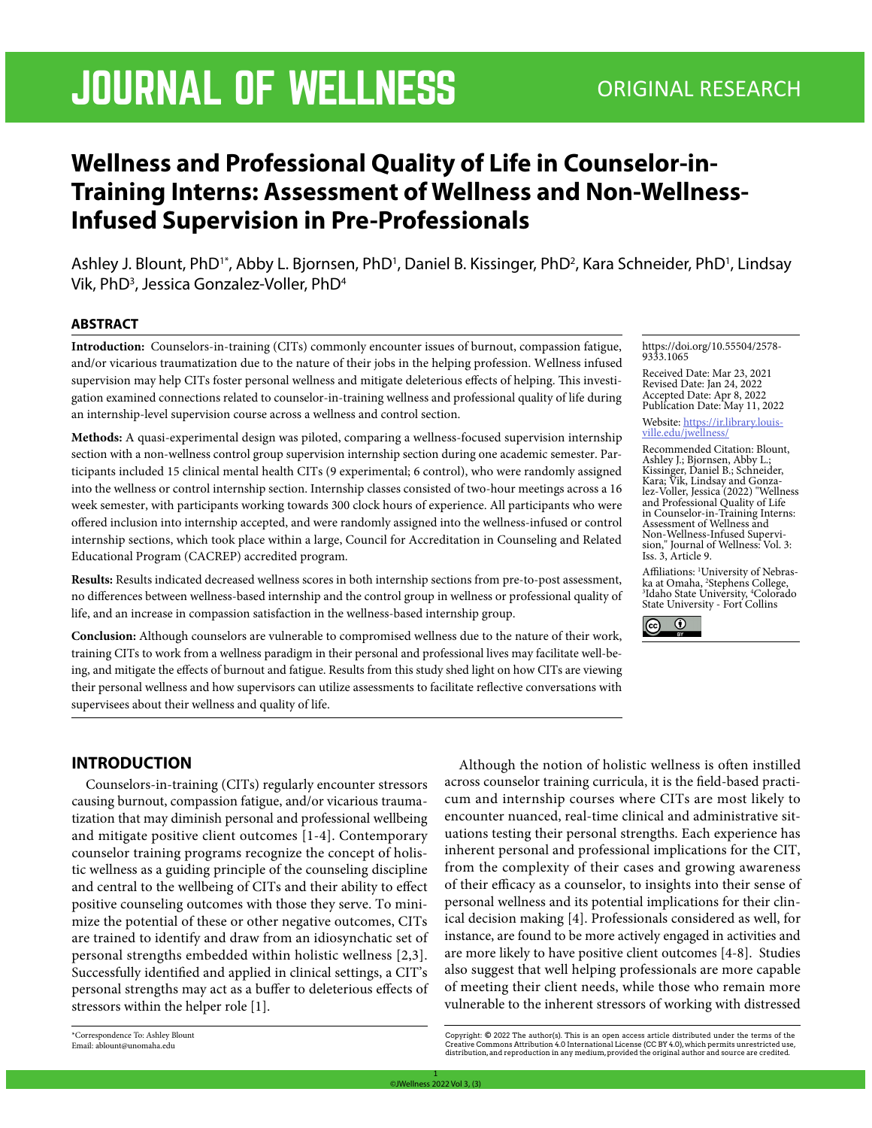# JOURNAL OF WELLNESS ORIGINAL RESEARCH

# **Wellness and Professional Quality of Life in Counselor-in-Training Interns: Assessment of Wellness and Non-Wellness-Infused Supervision in Pre-Professionals**

Ashley J. Blount, PhD<sup>1\*</sup>, Abby L. Bjornsen, PhD<sup>1</sup>, Daniel B. Kissinger, PhD<sup>2</sup>, Kara Schneider, PhD<sup>1</sup>, Lindsay Vik, PhD<sup>3</sup>, Jessica Gonzalez-Voller, PhD<sup>4</sup>

#### **ABSTRACT**

**Introduction:** Counselors-in-training (CITs) commonly encounter issues of burnout, compassion fatigue, and/or vicarious traumatization due to the nature of their jobs in the helping profession. Wellness infused supervision may help CITs foster personal wellness and mitigate deleterious effects of helping. This investigation examined connections related to counselor-in-training wellness and professional quality of life during an internship-level supervision course across a wellness and control section.

**Methods:** A quasi-experimental design was piloted, comparing a wellness-focused supervision internship section with a non-wellness control group supervision internship section during one academic semester. Participants included 15 clinical mental health CITs (9 experimental; 6 control), who were randomly assigned into the wellness or control internship section. Internship classes consisted of two-hour meetings across a 16 week semester, with participants working towards 300 clock hours of experience. All participants who were offered inclusion into internship accepted, and were randomly assigned into the wellness-infused or control internship sections, which took place within a large, Council for Accreditation in Counseling and Related Educational Program (CACREP) accredited program.

**Results:** Results indicated decreased wellness scores in both internship sections from pre-to-post assessment, no differences between wellness-based internship and the control group in wellness or professional quality of life, and an increase in compassion satisfaction in the wellness-based internship group.

**Conclusion:** Although counselors are vulnerable to compromised wellness due to the nature of their work, training CITs to work from a wellness paradigm in their personal and professional lives may facilitate well-being, and mitigate the effects of burnout and fatigue. Results from this study shed light on how CITs are viewing their personal wellness and how supervisors can utilize assessments to facilitate reflective conversations with supervisees about their wellness and quality of life.

https://doi.org/10.55504/2578- 9333.1065

Received Date: Mar 23, 2021 Revised Date: Jan 24, 2022 Accepted Date: Apr 8, 2022 Publication Date: May 11, 2022

Website: https://ir.library.louis- ville.edu/jwellness/

Recommended Citation: Blount, Ashley J.; Bjornsen, Abby L.; Kissinger, Daniel B.; Schneider, Kara; Vik, Lindsay and Gonza- lez-Voller, Jessica (2022) "Wellness and Professional Quality of Life in Counselor-in-Training Interns: Assessment of Wellness and Non-Wellness-Infused Supervi- sion," Journal of Wellness: Vol. 3: Iss. 3, Article 9.

Affiliations: <sup>1</sup>University of Nebras-Affiliations: 'University of Nebras-<br>ka at Omaha, <sup>2</sup>Stephens College,<br><sup>3</sup>Idabo State University <sup>4</sup>Colorado Idaho State University, 4 Colorado State University - Fort Collins



# **INTRODUCTION**

Counselors-in-training (CITs) regularly encounter stressors causing burnout, compassion fatigue, and/or vicarious traumatization that may diminish personal and professional wellbeing and mitigate positive client outcomes [1-4]. Contemporary counselor training programs recognize the concept of holistic wellness as a guiding principle of the counseling discipline and central to the wellbeing of CITs and their ability to effect positive counseling outcomes with those they serve. To minimize the potential of these or other negative outcomes, CITs are trained to identify and draw from an idiosynchatic set of personal strengths embedded within holistic wellness [2,3]. Successfully identified and applied in clinical settings, a CIT's personal strengths may act as a buffer to deleterious effects of stressors within the helper role [1].

Although the notion of holistic wellness is often instilled across counselor training curricula, it is the field-based practicum and internship courses where CITs are most likely to encounter nuanced, real-time clinical and administrative situations testing their personal strengths. Each experience has inherent personal and professional implications for the CIT, from the complexity of their cases and growing awareness of their efficacy as a counselor, to insights into their sense of personal wellness and its potential implications for their clinical decision making [4]. Professionals considered as well, for instance, are found to be more actively engaged in activities and are more likely to have positive client outcomes [4-8]. Studies also suggest that well helping professionals are more capable of meeting their client needs, while those who remain more vulnerable to the inherent stressors of working with distressed

<sup>\*</sup>Correspondence To: Ashley Blount Email: ablount@unomaha.edu

Copyright: © 2022 The author(s). This is an open access article distributed under the terms of the<br>Creative Commons Attribution 4.0 International License (CC BY 4.0), which permits unrestricted use,<br>distribution,and repro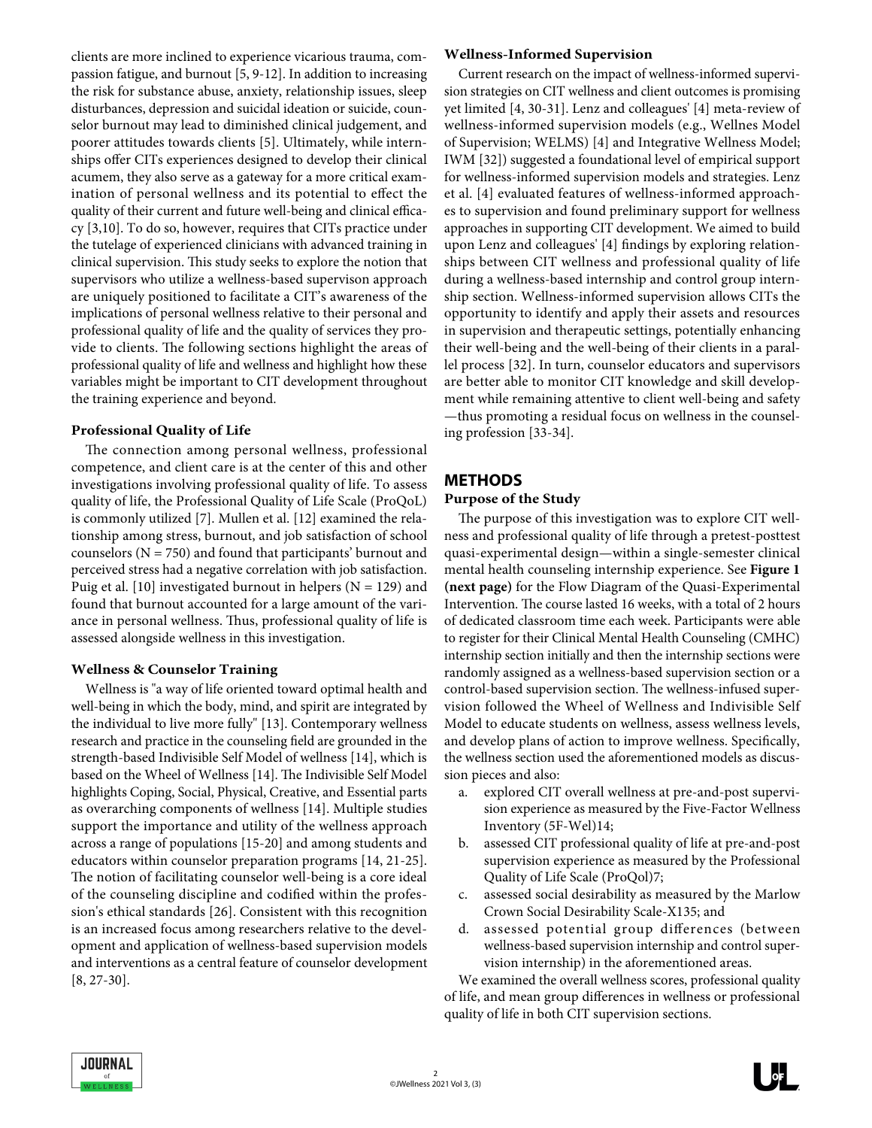clients are more inclined to experience vicarious trauma, compassion fatigue, and burnout [5, 9-12]. In addition to increasing the risk for substance abuse, anxiety, relationship issues, sleep disturbances, depression and suicidal ideation or suicide, counselor burnout may lead to diminished clinical judgement, and poorer attitudes towards clients [5]. Ultimately, while internships offer CITs experiences designed to develop their clinical acumem, they also serve as a gateway for a more critical examination of personal wellness and its potential to effect the quality of their current and future well-being and clinical efficacy [3,10]. To do so, however, requires that CITs practice under the tutelage of experienced clinicians with advanced training in clinical supervision. This study seeks to explore the notion that supervisors who utilize a wellness-based supervison approach are uniquely positioned to facilitate a CIT's awareness of the implications of personal wellness relative to their personal and professional quality of life and the quality of services they provide to clients. The following sections highlight the areas of professional quality of life and wellness and highlight how these variables might be important to CIT development throughout the training experience and beyond.

#### **Professional Quality of Life**

The connection among personal wellness, professional competence, and client care is at the center of this and other investigations involving professional quality of life. To assess quality of life, the Professional Quality of Life Scale (ProQoL) is commonly utilized [7]. Mullen et al. [12] examined the relationship among stress, burnout, and job satisfaction of school counselors ( $N = 750$ ) and found that participants' burnout and perceived stress had a negative correlation with job satisfaction. Puig et al. [10] investigated burnout in helpers ( $N = 129$ ) and found that burnout accounted for a large amount of the variance in personal wellness. Thus, professional quality of life is assessed alongside wellness in this investigation.

#### **Wellness & Counselor Training**

Wellness is "a way of life oriented toward optimal health and well-being in which the body, mind, and spirit are integrated by the individual to live more fully" [13]. Contemporary wellness research and practice in the counseling field are grounded in the strength-based Indivisible Self Model of wellness [14], which is based on the Wheel of Wellness [14]. The Indivisible Self Model highlights Coping, Social, Physical, Creative, and Essential parts as overarching components of wellness [14]. Multiple studies support the importance and utility of the wellness approach across a range of populations [15-20] and among students and educators within counselor preparation programs [14, 21-25]. The notion of facilitating counselor well-being is a core ideal of the counseling discipline and codified within the profession's ethical standards [26]. Consistent with this recognition is an increased focus among researchers relative to the development and application of wellness-based supervision models and interventions as a central feature of counselor development [8, 27-30].

#### **Wellness-Informed Supervision**

Current research on the impact of wellness-informed supervision strategies on CIT wellness and client outcomes is promising yet limited [4, 30-31]. Lenz and colleagues' [4] meta-review of wellness-informed supervision models (e.g., Wellnes Model of Supervision; WELMS) [4] and Integrative Wellness Model; IWM [32]) suggested a foundational level of empirical support for wellness-informed supervision models and strategies. Lenz et al. [4] evaluated features of wellness-informed approaches to supervision and found preliminary support for wellness approaches in supporting CIT development. We aimed to build upon Lenz and colleagues' [4] findings by exploring relationships between CIT wellness and professional quality of life during a wellness-based internship and control group internship section. Wellness-informed supervision allows CITs the opportunity to identify and apply their assets and resources in supervision and therapeutic settings, potentially enhancing their well-being and the well-being of their clients in a parallel process [32]. In turn, counselor educators and supervisors are better able to monitor CIT knowledge and skill development while remaining attentive to client well-being and safety —thus promoting a residual focus on wellness in the counseling profession [33-34].

# **METHODS**

#### **Purpose of the Study**

The purpose of this investigation was to explore CIT wellness and professional quality of life through a pretest-posttest quasi-experimental design—within a single-semester clinical mental health counseling internship experience. See **Figure 1 (next page)** for the Flow Diagram of the Quasi-Experimental Intervention. The course lasted 16 weeks, with a total of 2 hours of dedicated classroom time each week. Participants were able to register for their Clinical Mental Health Counseling (CMHC) internship section initially and then the internship sections were randomly assigned as a wellness-based supervision section or a control-based supervision section. The wellness-infused supervision followed the Wheel of Wellness and Indivisible Self Model to educate students on wellness, assess wellness levels, and develop plans of action to improve wellness. Specifically, the wellness section used the aforementioned models as discussion pieces and also:

- a. explored CIT overall wellness at pre-and-post supervision experience as measured by the Five-Factor Wellness Inventory (5F-Wel)14;
- b. assessed CIT professional quality of life at pre-and-post supervision experience as measured by the Professional Quality of Life Scale (ProQol)7;
- c. assessed social desirability as measured by the Marlow Crown Social Desirability Scale-X135; and
- d. assessed potential group differences (between wellness-based supervision internship and control supervision internship) in the aforementioned areas.

We examined the overall wellness scores, professional quality of life, and mean group differences in wellness or professional quality of life in both CIT supervision sections.

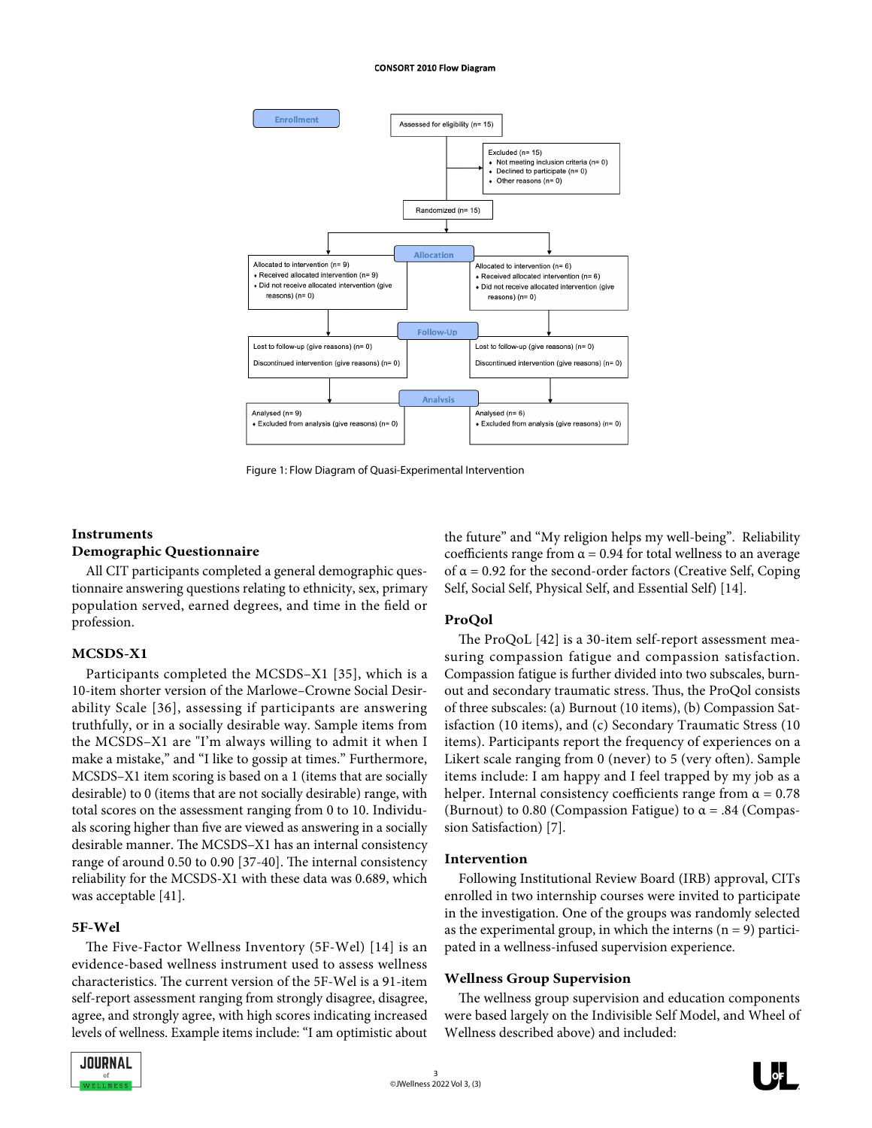#### **CONSORT 2010 Flow Diagram**



Figure 1: Flow Diagram of Quasi-Experimental Intervention

#### **Instruments**

#### **Demographic Questionnaire**

All CIT participants completed a general demographic questionnaire answering questions relating to ethnicity, sex, primary population served, earned degrees, and time in the field or profession.

#### **MCSDS-X1**

Participants completed the MCSDS–X1 [35], which is a 10-item shorter version of the Marlowe–Crowne Social Desirability Scale [36], assessing if participants are answering truthfully, or in a socially desirable way. Sample items from the MCSDS–X1 are "I'm always willing to admit it when I make a mistake," and "I like to gossip at times." Furthermore, MCSDS–X1 item scoring is based on a 1 (items that are socially desirable) to 0 (items that are not socially desirable) range, with total scores on the assessment ranging from 0 to 10. Individuals scoring higher than five are viewed as answering in a socially desirable manner. The MCSDS–X1 has an internal consistency range of around 0.50 to 0.90 [37-40]. The internal consistency reliability for the MCSDS-X1 with these data was 0.689, which was acceptable [41].

#### **5F-Wel**

The Five-Factor Wellness Inventory (5F-Wel) [14] is an evidence-based wellness instrument used to assess wellness characteristics. The current version of the 5F-Wel is a 91-item self-report assessment ranging from strongly disagree, disagree, agree, and strongly agree, with high scores indicating increased levels of wellness. Example items include: "I am optimistic about



the future" and "My religion helps my well-being". Reliability coefficients range from  $\alpha$  = 0.94 for total wellness to an average of  $\alpha$  = 0.92 for the second-order factors (Creative Self, Coping Self, Social Self, Physical Self, and Essential Self) [14].

#### **ProQol**

The ProQoL [42] is a 30-item self-report assessment measuring compassion fatigue and compassion satisfaction. Compassion fatigue is further divided into two subscales, burnout and secondary traumatic stress. Thus, the ProQol consists of three subscales: (a) Burnout (10 items), (b) Compassion Satisfaction (10 items), and (c) Secondary Traumatic Stress (10 items). Participants report the frequency of experiences on a Likert scale ranging from 0 (never) to 5 (very often). Sample items include: I am happy and I feel trapped by my job as a helper. Internal consistency coefficients range from  $\alpha = 0.78$ (Burnout) to 0.80 (Compassion Fatigue) to  $\alpha$  = .84 (Compassion Satisfaction) [7].

#### **Intervention**

Following Institutional Review Board (IRB) approval, CITs enrolled in two internship courses were invited to participate in the investigation. One of the groups was randomly selected as the experimental group, in which the interns  $(n = 9)$  participated in a wellness-infused supervision experience.

#### **Wellness Group Supervision**

The wellness group supervision and education components were based largely on the Indivisible Self Model, and Wheel of Wellness described above) and included:

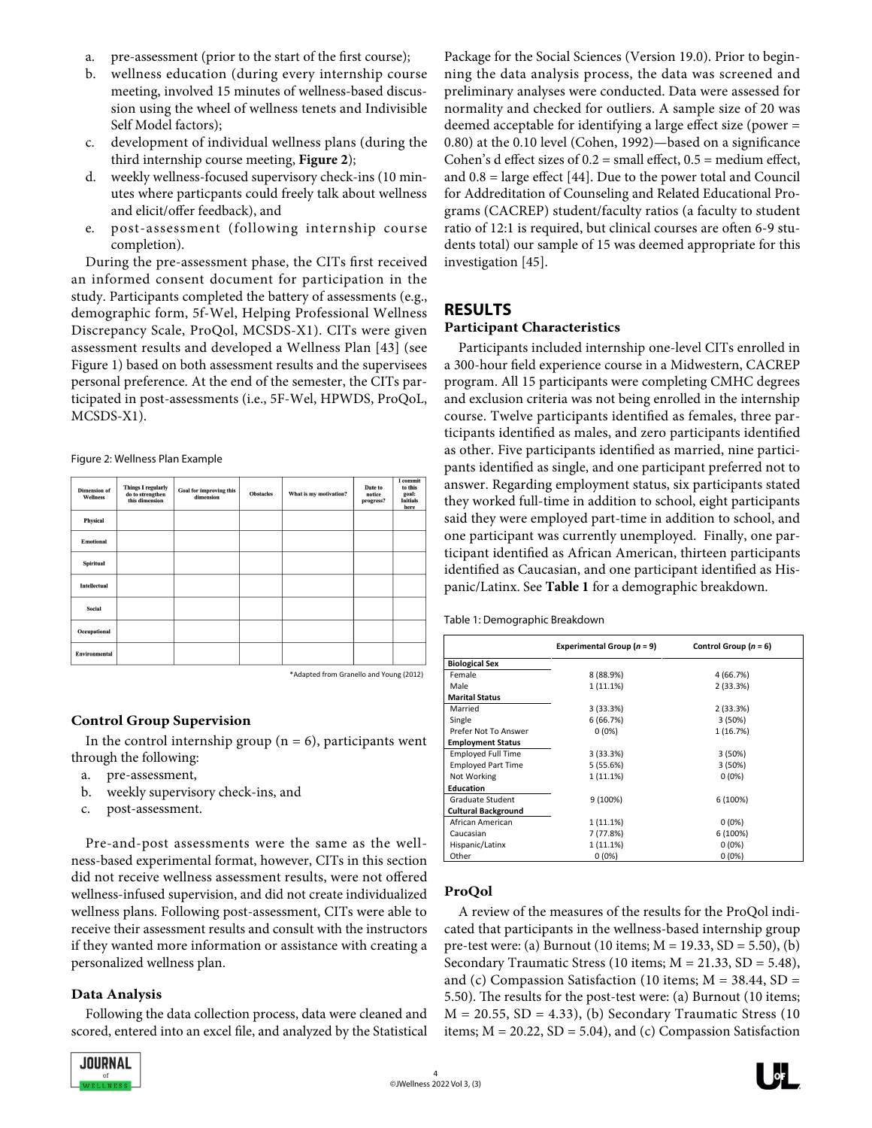- a. pre-assessment (prior to the start of the first course);
- b. wellness education (during every internship course meeting, involved 15 minutes of wellness-based discussion using the wheel of wellness tenets and Indivisible Self Model factors);
- c. development of individual wellness plans (during the third internship course meeting, **Figure 2**);
- d. weekly wellness-focused supervisory check-ins (10 minutes where particpants could freely talk about wellness and elicit/offer feedback), and
- e. post-assessment (following internship course completion).

During the pre-assessment phase, the CITs first received an informed consent document for participation in the study. Participants completed the battery of assessments (e.g., demographic form, 5f-Wel, Helping Professional Wellness Discrepancy Scale, ProQol, MCSDS-X1). CITs were given assessment results and developed a Wellness Plan [43] (see Figure 1) based on both assessment results and the supervisees personal preference. At the end of the semester, the CITs participated in post-assessments (i.e., 5F-Wel, HPWDS, ProQoL, MCSDS-X1).

Figure 2: Wellness Plan Example

| <b>Dimension of</b><br>Wellness | <b>Things I regularly</b><br>do to strengthen<br>this dimension | Goal for improving this<br>dimension | <b>Obstacles</b> | What is my motivation? | Date to<br>notice<br>progress? | I commit<br>to this<br>goal:<br><b>Initials</b><br>here |
|---------------------------------|-----------------------------------------------------------------|--------------------------------------|------------------|------------------------|--------------------------------|---------------------------------------------------------|
| Physical                        |                                                                 |                                      |                  |                        |                                |                                                         |
| <b>Emotional</b>                |                                                                 |                                      |                  |                        |                                |                                                         |
| <b>Spiritual</b>                |                                                                 |                                      |                  |                        |                                |                                                         |
| <b>Intellectual</b>             |                                                                 |                                      |                  |                        |                                |                                                         |
| Social                          |                                                                 |                                      |                  |                        |                                |                                                         |
| Occupational                    |                                                                 |                                      |                  |                        |                                |                                                         |
| Environmental                   |                                                                 |                                      |                  |                        |                                |                                                         |

\*Adapted from Granello and Young (2012)

# **Control Group Supervision**

In the control internship group ( $n = 6$ ), participants went through the following:

- a. pre-assessment,
- b. weekly supervisory check-ins, and
- c. post-assessment.

Pre-and-post assessments were the same as the wellness-based experimental format, however, CITs in this section did not receive wellness assessment results, were not offered wellness-infused supervision, and did not create individualized wellness plans. Following post-assessment, CITs were able to receive their assessment results and consult with the instructors if they wanted more information or assistance with creating a personalized wellness plan.

# **Data Analysis**

Following the data collection process, data were cleaned and scored, entered into an excel file, and analyzed by the Statistical



Package for the Social Sciences (Version 19.0). Prior to beginning the data analysis process, the data was screened and preliminary analyses were conducted. Data were assessed for normality and checked for outliers. A sample size of 20 was deemed acceptable for identifying a large effect size (power = 0.80) at the 0.10 level (Cohen, 1992)—based on a significance Cohen's d effect sizes of  $0.2$  = small effect,  $0.5$  = medium effect, and 0.8 = large effect [44]. Due to the power total and Council for Addreditation of Counseling and Related Educational Programs (CACREP) student/faculty ratios (a faculty to student ratio of 12:1 is required, but clinical courses are often 6-9 students total) our sample of 15 was deemed appropriate for this investigation [45].

# **RESULTS**

# **Participant Characteristics**

Participants included internship one-level CITs enrolled in a 300-hour field experience course in a Midwestern, CACREP program. All 15 participants were completing CMHC degrees and exclusion criteria was not being enrolled in the internship course. Twelve participants identified as females, three participants identified as males, and zero participants identified as other. Five participants identified as married, nine participants identified as single, and one participant preferred not to answer. Regarding employment status, six participants stated they worked full-time in addition to school, eight participants said they were employed part-time in addition to school, and one participant was currently unemployed. Finally, one participant identified as African American, thirteen participants identified as Caucasian, and one participant identified as Hispanic/Latinx. See **Table 1** for a demographic breakdown.

| Table 1: Demographic Breakdown |  |
|--------------------------------|--|
|--------------------------------|--|

|                            | Experimental Group ( $n = 9$ ) | Control Group $(n = 6)$ |
|----------------------------|--------------------------------|-------------------------|
| <b>Biological Sex</b>      |                                |                         |
| Female                     | 8 (88.9%)                      | 4 (66.7%)               |
| Male                       | 1 (11.1%)                      | 2(33.3%)                |
| <b>Marital Status</b>      |                                |                         |
| Married                    | 3 (33.3%)                      | 2 (33.3%)               |
| Single                     | 6 (66.7%)                      | 3 (50%)                 |
| Prefer Not To Answer       | $0(0\%)$                       | 1 (16.7%)               |
| <b>Employment Status</b>   |                                |                         |
| <b>Employed Full Time</b>  | 3 (33.3%)                      | 3 (50%)                 |
| <b>Employed Part Time</b>  | 5(55.6%)                       | 3 (50%)                 |
| Not Working                | 1 (11.1%)                      | $0(0\%)$                |
| <b>Education</b>           |                                |                         |
| <b>Graduate Student</b>    | 9 (100%)                       | 6 (100%)                |
| <b>Cultural Background</b> |                                |                         |
| African American           | 1 (11.1%)                      | $0(0\%)$                |
| Caucasian                  | 7 (77.8%)                      | 6 (100%)                |
| Hispanic/Latinx            | 1 (11.1%)                      | $0(0\%)$                |
| Other                      | $0(0\%)$                       | $0(0\%)$                |

# **ProQol**

A review of the measures of the results for the ProQol indicated that participants in the wellness-based internship group pre-test were: (a) Burnout (10 items; M = 19.33, SD = 5.50), (b) Secondary Traumatic Stress (10 items; M = 21.33, SD = 5.48), and (c) Compassion Satisfaction (10 items;  $M = 38.44$ , SD = 5.50). The results for the post-test were: (a) Burnout (10 items;  $M = 20.55$ ,  $SD = 4.33$ ), (b) Secondary Traumatic Stress (10 items;  $M = 20.22$ ,  $SD = 5.04$ ), and (c) Compassion Satisfaction

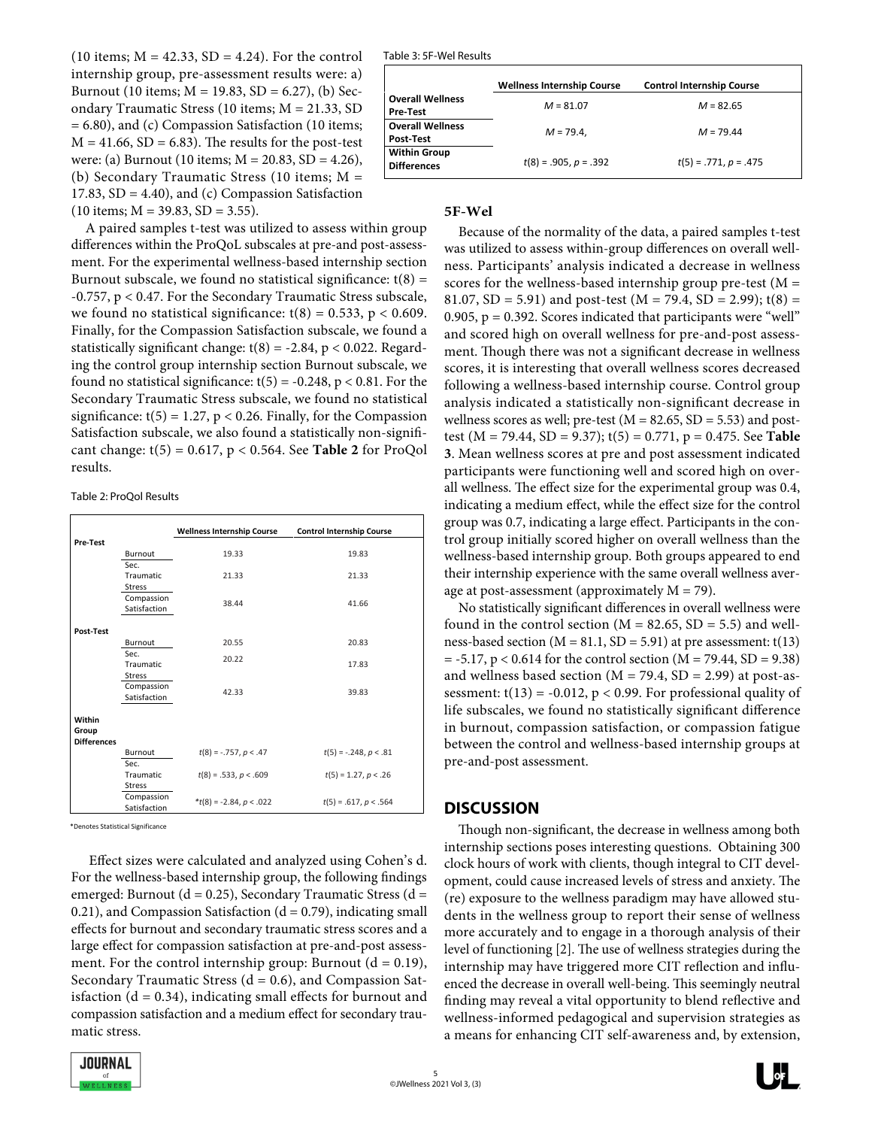(10 items;  $M = 42.33$ ,  $SD = 4.24$ ). For the control internship group, pre-assessment results were: a) Burnout (10 items;  $M = 19.83$ ,  $SD = 6.27$ ), (b) Secondary Traumatic Stress (10 items; M = 21.33, SD = 6.80), and (c) Compassion Satisfaction (10 items;  $M = 41.66$ ,  $SD = 6.83$ ). The results for the post-test were: (a) Burnout (10 items;  $M = 20.83$ , SD = 4.26), (b) Secondary Traumatic Stress (10 items; M = 17.83,  $SD = 4.40$ ), and (c) Compassion Satisfaction  $(10 \text{ items}; M = 39.83, SD = 3.55).$ 

A paired samples t-test was utilized to assess within group differences within the ProQoL subscales at pre-and post-assessment. For the experimental wellness-based internship section Burnout subscale, we found no statistical significance:  $t(8) =$ -0.757, p < 0.47. For the Secondary Traumatic Stress subscale, we found no statistical significance:  $t(8) = 0.533$ ,  $p < 0.609$ . Finally, for the Compassion Satisfaction subscale, we found a statistically significant change:  $t(8) = -2.84$ ,  $p < 0.022$ . Regarding the control group internship section Burnout subscale, we found no statistical significance:  $t(5) = -0.248$ ,  $p < 0.81$ . For the Secondary Traumatic Stress subscale, we found no statistical significance:  $t(5) = 1.27$ ,  $p < 0.26$ . Finally, for the Compassion Satisfaction subscale, we also found a statistically non-significant change: t(5) = 0.617, p < 0.564. See **Table 2** for ProQol results.

Table 2: ProQol Results

|                    |                          | <b>Wellness Internship Course</b> | <b>Control Internship Course</b> |
|--------------------|--------------------------|-----------------------------------|----------------------------------|
| <b>Pre-Test</b>    |                          |                                   |                                  |
|                    | Burnout                  | 19.33                             | 19.83                            |
|                    | Sec.                     |                                   |                                  |
|                    | <b>Traumatic</b>         | 21.33                             | 21.33                            |
|                    | <b>Stress</b>            |                                   |                                  |
|                    | Compassion               | 38.44                             | 41.66                            |
|                    | Satisfaction             |                                   |                                  |
| Post-Test          |                          |                                   |                                  |
|                    |                          |                                   |                                  |
|                    | Burnout                  | 20.55                             | 20.83                            |
|                    | Sec.<br><b>Traumatic</b> | 20.22                             | 17.83                            |
|                    | <b>Stress</b>            |                                   |                                  |
|                    | Compassion               |                                   |                                  |
|                    | Satisfaction             | 42.33                             | 39.83                            |
|                    |                          |                                   |                                  |
| Within             |                          |                                   |                                  |
| Group              |                          |                                   |                                  |
| <b>Differences</b> |                          |                                   |                                  |
|                    | Burnout                  | $t(8) = -.757, p < .47$           | $t(5) = -.248, p < .81$          |
|                    | Sec.                     |                                   |                                  |
|                    | Traumatic                | $t(8) = .533, p < .609$           | $t(5) = 1.27, p < .26$           |
|                    | <b>Stress</b>            |                                   |                                  |
|                    | Compassion               | $*t(8) = -2.84, p < .022$         | $t(5) = .617, p < .564$          |
|                    | Satisfaction             |                                   |                                  |

\*Denotes Statistical Significance

 Effect sizes were calculated and analyzed using Cohen's d. For the wellness-based internship group, the following findings emerged: Burnout (d = 0.25), Secondary Traumatic Stress (d = 0.21), and Compassion Satisfaction  $(d = 0.79)$ , indicating small effects for burnout and secondary traumatic stress scores and a large effect for compassion satisfaction at pre-and-post assessment. For the control internship group: Burnout  $(d = 0.19)$ , Secondary Traumatic Stress  $(d = 0.6)$ , and Compassion Satisfaction ( $d = 0.34$ ), indicating small effects for burnout and compassion satisfaction and a medium effect for secondary traumatic stress.



|                                      | <b>Wellness Internship Course</b> | <b>Control Internship Course</b> |  |
|--------------------------------------|-----------------------------------|----------------------------------|--|
| <b>Overall Wellness</b><br>Pre-Test  | $M = 81.07$                       | $M = 82.65$                      |  |
| <b>Overall Wellness</b><br>Post-Test | $M = 79.4$ .                      | $M = 79.44$                      |  |
| Within Group<br><b>Differences</b>   | $t(8) = .905, p = .392$           | $t(5) = .771, p = .475$          |  |

### **5F-Wel**

Because of the normality of the data, a paired samples t-test was utilized to assess within-group differences on overall wellness. Participants' analysis indicated a decrease in wellness scores for the wellness-based internship group pre-test  $(M =$ 81.07,  $SD = 5.91$ ) and post-test (M = 79.4,  $SD = 2.99$ ); t(8) = 0.905,  $p = 0.392$ . Scores indicated that participants were "well" and scored high on overall wellness for pre-and-post assessment. Though there was not a significant decrease in wellness scores, it is interesting that overall wellness scores decreased following a wellness-based internship course. Control group analysis indicated a statistically non-significant decrease in wellness scores as well; pre-test ( $M = 82.65$ ,  $SD = 5.53$ ) and posttest (M = 79.44, SD = 9.37); t(5) = 0.771, p = 0.475. See **Table 3**. Mean wellness scores at pre and post assessment indicated participants were functioning well and scored high on overall wellness. The effect size for the experimental group was 0.4, indicating a medium effect, while the effect size for the control group was 0.7, indicating a large effect. Participants in the control group initially scored higher on overall wellness than the wellness-based internship group. Both groups appeared to end their internship experience with the same overall wellness average at post-assessment (approximately  $M = 79$ ).

No statistically significant differences in overall wellness were found in the control section ( $M = 82.65$ ,  $SD = 5.5$ ) and wellness-based section ( $M = 81.1$ ,  $SD = 5.91$ ) at pre assessment: t(13)  $= -5.17$ ,  $p < 0.614$  for the control section (M = 79.44, SD = 9.38) and wellness based section ( $M = 79.4$ ,  $SD = 2.99$ ) at post-assessment:  $t(13) = -0.012$ ,  $p < 0.99$ . For professional quality of life subscales, we found no statistically significant difference in burnout, compassion satisfaction, or compassion fatigue between the control and wellness-based internship groups at pre-and-post assessment.

# **DISCUSSION**

Though non-significant, the decrease in wellness among both internship sections poses interesting questions. Obtaining 300 clock hours of work with clients, though integral to CIT development, could cause increased levels of stress and anxiety. The (re) exposure to the wellness paradigm may have allowed students in the wellness group to report their sense of wellness more accurately and to engage in a thorough analysis of their level of functioning [2]. The use of wellness strategies during the internship may have triggered more CIT reflection and influenced the decrease in overall well-being. This seemingly neutral finding may reveal a vital opportunity to blend reflective and wellness-informed pedagogical and supervision strategies as a means for enhancing CIT self-awareness and, by extension,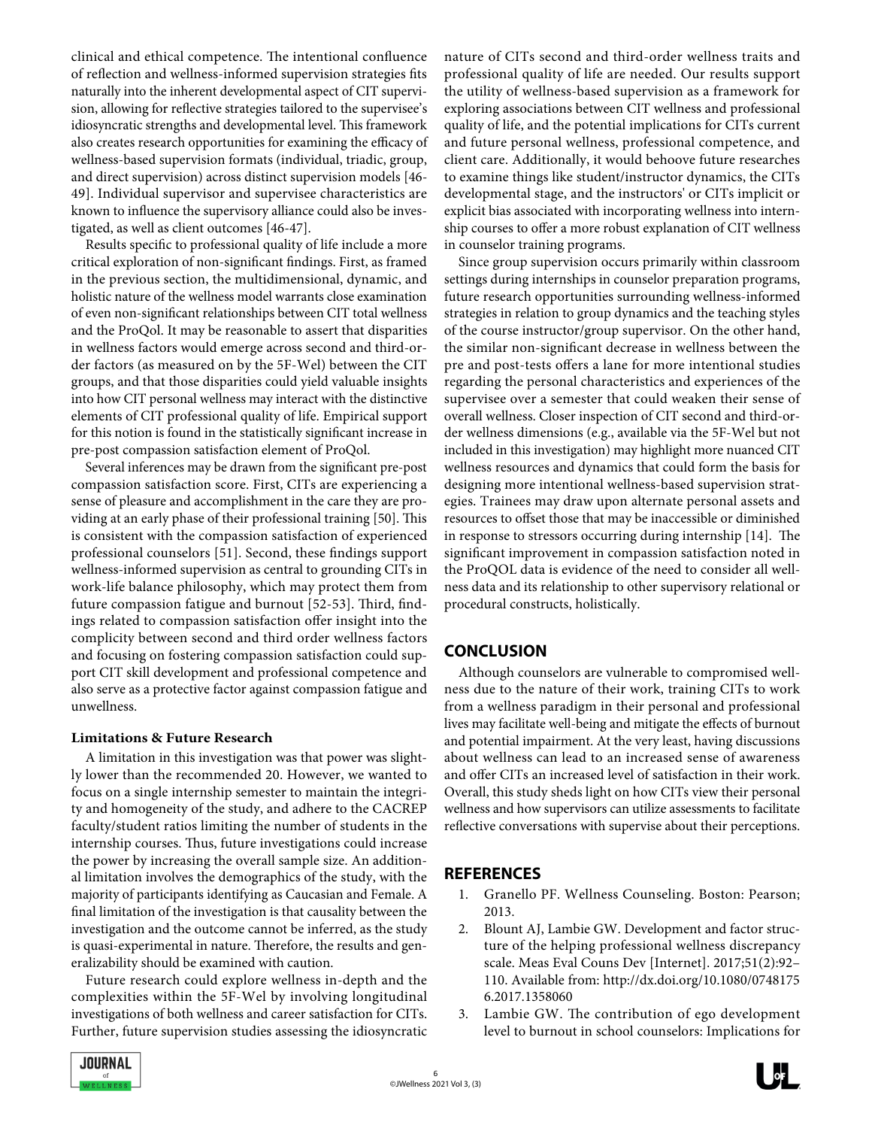clinical and ethical competence. The intentional confluence of reflection and wellness-informed supervision strategies fits naturally into the inherent developmental aspect of CIT supervision, allowing for reflective strategies tailored to the supervisee's idiosyncratic strengths and developmental level. This framework also creates research opportunities for examining the efficacy of wellness-based supervision formats (individual, triadic, group, and direct supervision) across distinct supervision models [46- 49]. Individual supervisor and supervisee characteristics are known to influence the supervisory alliance could also be investigated, as well as client outcomes [46-47].

Results specific to professional quality of life include a more critical exploration of non-significant findings. First, as framed in the previous section, the multidimensional, dynamic, and holistic nature of the wellness model warrants close examination of even non-significant relationships between CIT total wellness and the ProQol. It may be reasonable to assert that disparities in wellness factors would emerge across second and third-order factors (as measured on by the 5F-Wel) between the CIT groups, and that those disparities could yield valuable insights into how CIT personal wellness may interact with the distinctive elements of CIT professional quality of life. Empirical support for this notion is found in the statistically significant increase in pre-post compassion satisfaction element of ProQol.

Several inferences may be drawn from the significant pre-post compassion satisfaction score. First, CITs are experiencing a sense of pleasure and accomplishment in the care they are providing at an early phase of their professional training [50]. This is consistent with the compassion satisfaction of experienced professional counselors [51]. Second, these findings support wellness-informed supervision as central to grounding CITs in work-life balance philosophy, which may protect them from future compassion fatigue and burnout [52-53]. Third, findings related to compassion satisfaction offer insight into the complicity between second and third order wellness factors and focusing on fostering compassion satisfaction could support CIT skill development and professional competence and also serve as a protective factor against compassion fatigue and unwellness.

#### **Limitations & Future Research**

A limitation in this investigation was that power was slightly lower than the recommended 20. However, we wanted to focus on a single internship semester to maintain the integrity and homogeneity of the study, and adhere to the CACREP faculty/student ratios limiting the number of students in the internship courses. Thus, future investigations could increase the power by increasing the overall sample size. An additional limitation involves the demographics of the study, with the majority of participants identifying as Caucasian and Female. A final limitation of the investigation is that causality between the investigation and the outcome cannot be inferred, as the study is quasi-experimental in nature. Therefore, the results and generalizability should be examined with caution.

Future research could explore wellness in-depth and the complexities within the 5F-Wel by involving longitudinal investigations of both wellness and career satisfaction for CITs. Further, future supervision studies assessing the idiosyncratic



Since group supervision occurs primarily within classroom settings during internships in counselor preparation programs, future research opportunities surrounding wellness-informed strategies in relation to group dynamics and the teaching styles of the course instructor/group supervisor. On the other hand, the similar non-significant decrease in wellness between the pre and post-tests offers a lane for more intentional studies regarding the personal characteristics and experiences of the supervisee over a semester that could weaken their sense of overall wellness. Closer inspection of CIT second and third-order wellness dimensions (e.g., available via the 5F-Wel but not included in this investigation) may highlight more nuanced CIT wellness resources and dynamics that could form the basis for designing more intentional wellness-based supervision strategies. Trainees may draw upon alternate personal assets and resources to offset those that may be inaccessible or diminished in response to stressors occurring during internship [14]. The significant improvement in compassion satisfaction noted in the ProQOL data is evidence of the need to consider all wellness data and its relationship to other supervisory relational or procedural constructs, holistically.

# **CONCLUSION**

Although counselors are vulnerable to compromised wellness due to the nature of their work, training CITs to work from a wellness paradigm in their personal and professional lives may facilitate well-being and mitigate the effects of burnout and potential impairment. At the very least, having discussions about wellness can lead to an increased sense of awareness and offer CITs an increased level of satisfaction in their work. Overall, this study sheds light on how CITs view their personal wellness and how supervisors can utilize assessments to facilitate reflective conversations with supervise about their perceptions.

# **REFERENCES**

- 1. Granello PF. Wellness Counseling. Boston: Pearson; 2013.
- 2. Blount AJ, Lambie GW. Development and factor structure of the helping professional wellness discrepancy scale. Meas Eval Couns Dev [Internet]. 2017;51(2):92– 110. Available from: http://dx.doi.org/10.1080/0748175 6.2017.1358060
- 3. Lambie GW. The contribution of ego development level to burnout in school counselors: Implications for

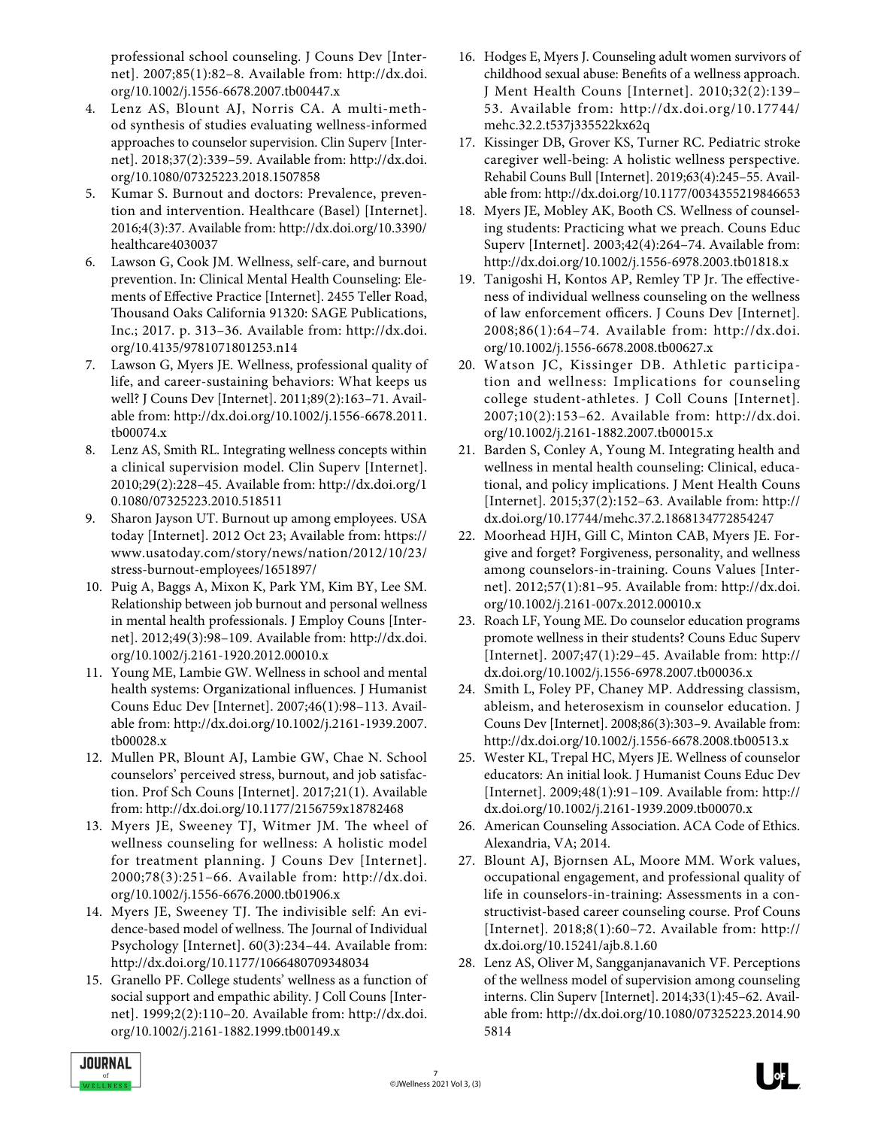professional school counseling. J Couns Dev [Internet]. 2007;85(1):82–8. Available from: http://dx.doi. org/10.1002/j.1556-6678.2007.tb00447.x

- 4. Lenz AS, Blount AJ, Norris CA. A multi-method synthesis of studies evaluating wellness-informed approaches to counselor supervision. Clin Superv [Internet]. 2018;37(2):339–59. Available from: http://dx.doi. org/10.1080/07325223.2018.1507858
- 5. Kumar S. Burnout and doctors: Prevalence, prevention and intervention. Healthcare (Basel) [Internet]. 2016;4(3):37. Available from: http://dx.doi.org/10.3390/ healthcare4030037
- 6. Lawson G, Cook JM. Wellness, self-care, and burnout prevention. In: Clinical Mental Health Counseling: Elements of Effective Practice [Internet]. 2455 Teller Road, Thousand Oaks California 91320: SAGE Publications, Inc.; 2017. p. 313–36. Available from: http://dx.doi. org/10.4135/9781071801253.n14
- 7. Lawson G, Myers JE. Wellness, professional quality of life, and career-sustaining behaviors: What keeps us well? J Couns Dev [Internet]. 2011;89(2):163–71. Available from: http://dx.doi.org/10.1002/j.1556-6678.2011. tb00074.x
- 8. Lenz AS, Smith RL. Integrating wellness concepts within a clinical supervision model. Clin Superv [Internet]. 2010;29(2):228–45. Available from: http://dx.doi.org/1 0.1080/07325223.2010.518511
- 9. Sharon Jayson UT. Burnout up among employees. USA today [Internet]. 2012 Oct 23; Available from: https:// www.usatoday.com/story/news/nation/2012/10/23/ stress-burnout-employees/1651897/
- 10. Puig A, Baggs A, Mixon K, Park YM, Kim BY, Lee SM. Relationship between job burnout and personal wellness in mental health professionals. J Employ Couns [Internet]. 2012;49(3):98–109. Available from: http://dx.doi. org/10.1002/j.2161-1920.2012.00010.x
- 11. Young ME, Lambie GW. Wellness in school and mental health systems: Organizational influences. J Humanist Couns Educ Dev [Internet]. 2007;46(1):98–113. Available from: http://dx.doi.org/10.1002/j.2161-1939.2007. tb00028.x
- 12. Mullen PR, Blount AJ, Lambie GW, Chae N. School counselors' perceived stress, burnout, and job satisfaction. Prof Sch Couns [Internet]. 2017;21(1). Available from: http://dx.doi.org/10.1177/2156759x18782468
- 13. Myers JE, Sweeney TJ, Witmer JM. The wheel of wellness counseling for wellness: A holistic model for treatment planning. J Couns Dev [Internet]. 2000;78(3):251–66. Available from: http://dx.doi. org/10.1002/j.1556-6676.2000.tb01906.x
- 14. Myers JE, Sweeney TJ. The indivisible self: An evidence-based model of wellness. The Journal of Individual Psychology [Internet]. 60(3):234–44. Available from: http://dx.doi.org/10.1177/1066480709348034
- 15. Granello PF. College students' wellness as a function of social support and empathic ability. J Coll Couns [Internet]. 1999;2(2):110–20. Available from: http://dx.doi. org/10.1002/j.2161-1882.1999.tb00149.x
- 16. Hodges E, Myers J. Counseling adult women survivors of childhood sexual abuse: Benefits of a wellness approach. J Ment Health Couns [Internet]. 2010;32(2):139– 53. Available from: http://dx.doi.org/10.17744/ mehc.32.2.t537j335522kx62q
- 17. Kissinger DB, Grover KS, Turner RC. Pediatric stroke caregiver well-being: A holistic wellness perspective. Rehabil Couns Bull [Internet]. 2019;63(4):245–55. Available from: http://dx.doi.org/10.1177/0034355219846653
- 18. Myers JE, Mobley AK, Booth CS. Wellness of counseling students: Practicing what we preach. Couns Educ Superv [Internet]. 2003;42(4):264–74. Available from: http://dx.doi.org/10.1002/j.1556-6978.2003.tb01818.x
- 19. Tanigoshi H, Kontos AP, Remley TP Jr. The effectiveness of individual wellness counseling on the wellness of law enforcement officers. J Couns Dev [Internet]. 2008;86(1):64–74. Available from: http://dx.doi. org/10.1002/j.1556-6678.2008.tb00627.x
- 20. Watson JC, Kissinger DB. Athletic participation and wellness: Implications for counseling college student-athletes. J Coll Couns [Internet]. 2007;10(2):153–62. Available from: http://dx.doi. org/10.1002/j.2161-1882.2007.tb00015.x
- 21. Barden S, Conley A, Young M. Integrating health and wellness in mental health counseling: Clinical, educational, and policy implications. J Ment Health Couns [Internet]. 2015;37(2):152–63. Available from: http:// dx.doi.org/10.17744/mehc.37.2.1868134772854247
- 22. Moorhead HJH, Gill C, Minton CAB, Myers JE. Forgive and forget? Forgiveness, personality, and wellness among counselors-in-training. Couns Values [Internet]. 2012;57(1):81–95. Available from: http://dx.doi. org/10.1002/j.2161-007x.2012.00010.x
- 23. Roach LF, Young ME. Do counselor education programs promote wellness in their students? Couns Educ Superv [Internet]. 2007;47(1):29–45. Available from: http:// dx.doi.org/10.1002/j.1556-6978.2007.tb00036.x
- 24. Smith L, Foley PF, Chaney MP. Addressing classism, ableism, and heterosexism in counselor education. J Couns Dev [Internet]. 2008;86(3):303–9. Available from: http://dx.doi.org/10.1002/j.1556-6678.2008.tb00513.x
- 25. Wester KL, Trepal HC, Myers JE. Wellness of counselor educators: An initial look. J Humanist Couns Educ Dev [Internet]. 2009;48(1):91–109. Available from: http:// dx.doi.org/10.1002/j.2161-1939.2009.tb00070.x
- 26. American Counseling Association. ACA Code of Ethics. Alexandria, VA; 2014.
- 27. Blount AJ, Bjornsen AL, Moore MM. Work values, occupational engagement, and professional quality of life in counselors-in-training: Assessments in a constructivist-based career counseling course. Prof Couns [Internet]. 2018;8(1):60–72. Available from: http:// dx.doi.org/10.15241/ajb.8.1.60
- 28. Lenz AS, Oliver M, Sangganjanavanich VF. Perceptions of the wellness model of supervision among counseling interns. Clin Superv [Internet]. 2014;33(1):45–62. Available from: http://dx.doi.org/10.1080/07325223.2014.90 5814